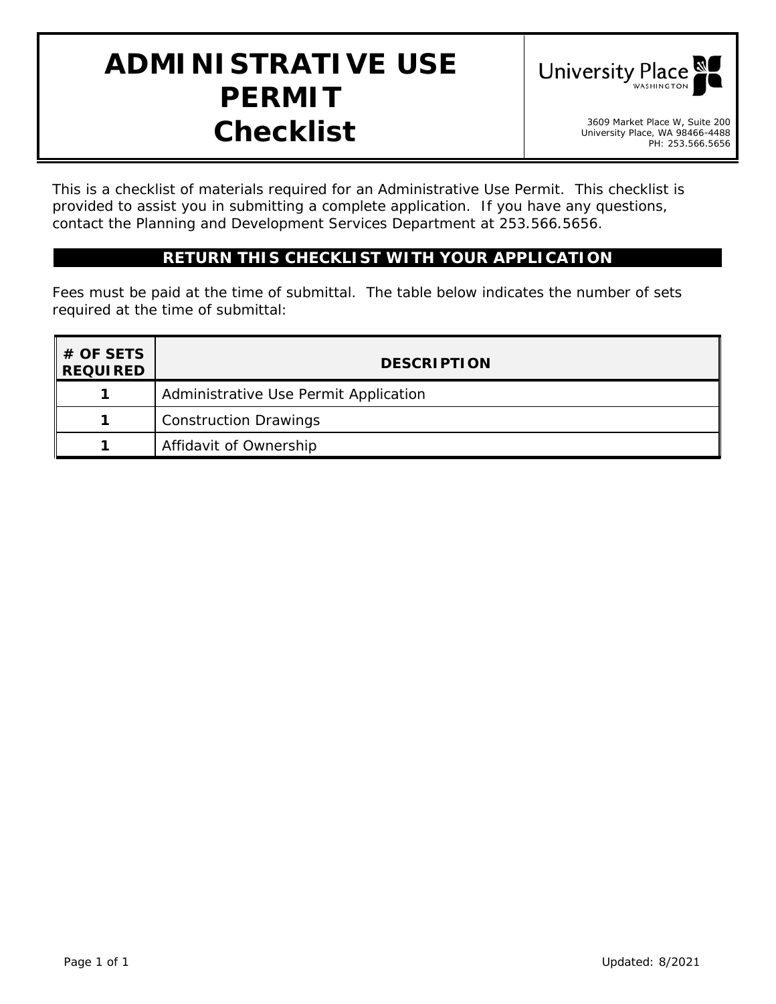# **ADMINISTRATIVE USE PERMIT**  Checklist **3609 Market Place W, Suite 200**



University Place, WA 98466-4488 PH: 253.566.5656

*This is a checklist of materials required for an Administrative Use Permit. This checklist is provided to assist you in submitting a complete application. If you have any questions, contact the Planning and Development Services Department at 253.566.5656.* 

### **RETURN THIS CHECKLIST WITH YOUR APPLICATION**

Fees must be paid at the time of submittal. The table below indicates the number of sets required at the time of submittal:

| $#$ OF SETS<br><b>REQUIRED</b> | <b>DESCRIPTION</b>                    |
|--------------------------------|---------------------------------------|
|                                | Administrative Use Permit Application |
|                                | <b>Construction Drawings</b>          |
|                                | Affidavit of Ownership                |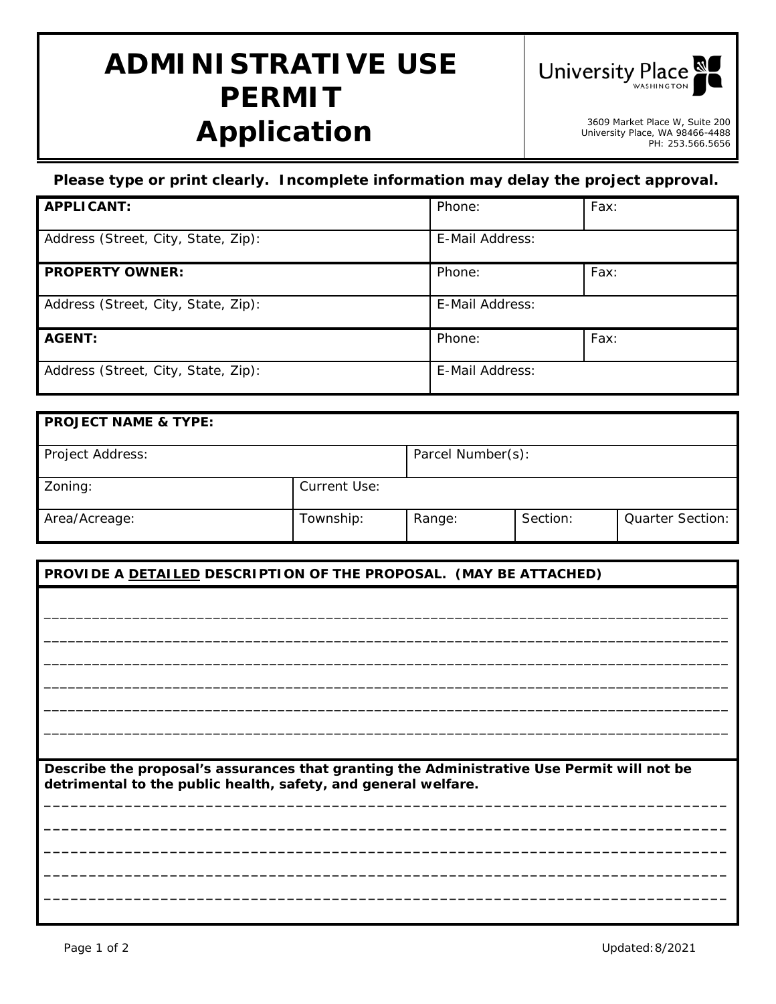# **ADMINISTRATIVE USE PERMIT Application**



3609 Market Place W, Suite 200<br>University Place, WA 98466-4488 PH: 253.566.5656

## *Please type or print clearly. Incomplete information may delay the project approval.*

| <b>APPLICANT:</b>                   | Phone:          | Fax: |
|-------------------------------------|-----------------|------|
| Address (Street, City, State, Zip): | E-Mail Address: |      |
| <b>PROPERTY OWNER:</b>              | Phone:          | Fax: |
| Address (Street, City, State, Zip): | E-Mail Address: |      |
| <b>AGENT:</b>                       | Phone:          | Fax: |
| Address (Street, City, State, Zip): | E-Mail Address: |      |

| <b>PROJECT NAME &amp; TYPE:</b> |              |                   |          |                         |  |  |  |
|---------------------------------|--------------|-------------------|----------|-------------------------|--|--|--|
| Project Address:                |              | Parcel Number(s): |          |                         |  |  |  |
| Zoning:                         | Current Use: |                   |          |                         |  |  |  |
| Area/Acreage:                   | Township:    | Range:            | Section: | <b>Quarter Section:</b> |  |  |  |

#### **PROVIDE A** *DETAILED* **DESCRIPTION OF THE PROPOSAL. (MAY BE ATTACHED)**

| Describe the proposal's assurances that granting the Administrative Use Permit will not be<br>detrimental to the public health, safety, and general welfare. |
|--------------------------------------------------------------------------------------------------------------------------------------------------------------|
|                                                                                                                                                              |
|                                                                                                                                                              |
|                                                                                                                                                              |
|                                                                                                                                                              |
|                                                                                                                                                              |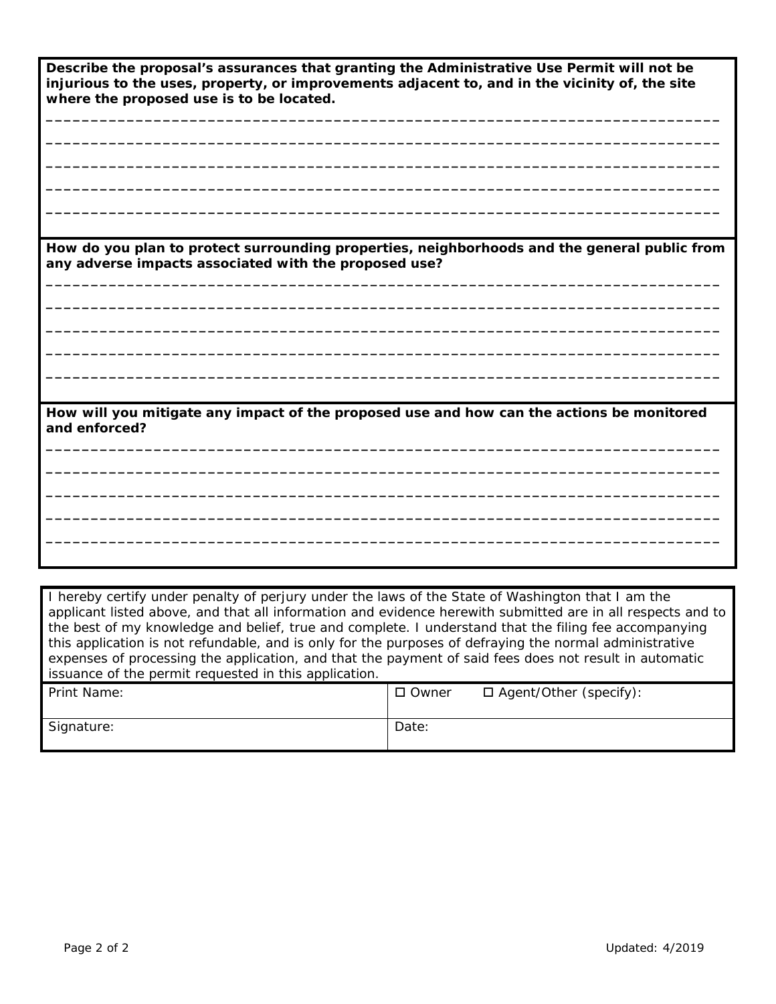| Describe the proposal's assurances that granting the Administrative Use Permit will not be<br>injurious to the uses, property, or improvements adjacent to, and in the vicinity of, the site<br>where the proposed use is to be located. |
|------------------------------------------------------------------------------------------------------------------------------------------------------------------------------------------------------------------------------------------|
| How do you plan to protect surrounding properties, neighborhoods and the general public from<br>any adverse impacts associated with the proposed use?                                                                                    |
|                                                                                                                                                                                                                                          |
|                                                                                                                                                                                                                                          |
|                                                                                                                                                                                                                                          |
| How will you mitigate any impact of the proposed use and how can the actions be monitored<br>and enforced?                                                                                                                               |
|                                                                                                                                                                                                                                          |
|                                                                                                                                                                                                                                          |
|                                                                                                                                                                                                                                          |
| I hereby certify under penalty of periury under the laws of the State of Washington that I am the                                                                                                                                        |

inder penalty of perjury under the laws of the State of Washington that I am the applicant listed above, and that all information and evidence herewith submitted are in all respects and to the best of my knowledge and belief, true and complete. I understand that the filing fee accompanying this application is not refundable, and is only for the purposes of defraying the normal administrative expenses of processing the application, and that the payment of said fees does not result in automatic issuance of the permit requested in this application.

| Print Name: | $\Box$ Owner | $\Box$ Agent/Other (specify): |
|-------------|--------------|-------------------------------|
| Signature:  | Date:        |                               |